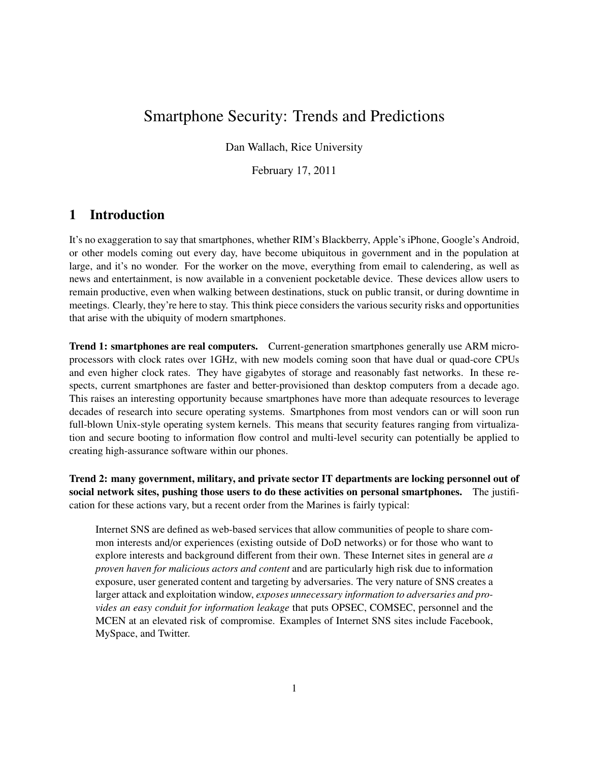# Smartphone Security: Trends and Predictions

Dan Wallach, Rice University

February 17, 2011

# 1 Introduction

It's no exaggeration to say that smartphones, whether RIM's Blackberry, Apple's iPhone, Google's Android, or other models coming out every day, have become ubiquitous in government and in the population at large, and it's no wonder. For the worker on the move, everything from email to calendering, as well as news and entertainment, is now available in a convenient pocketable device. These devices allow users to remain productive, even when walking between destinations, stuck on public transit, or during downtime in meetings. Clearly, they're here to stay. This think piece considers the various security risks and opportunities that arise with the ubiquity of modern smartphones.

Trend 1: smartphones are real computers. Current-generation smartphones generally use ARM microprocessors with clock rates over 1GHz, with new models coming soon that have dual or quad-core CPUs and even higher clock rates. They have gigabytes of storage and reasonably fast networks. In these respects, current smartphones are faster and better-provisioned than desktop computers from a decade ago. This raises an interesting opportunity because smartphones have more than adequate resources to leverage decades of research into secure operating systems. Smartphones from most vendors can or will soon run full-blown Unix-style operating system kernels. This means that security features ranging from virtualization and secure booting to information flow control and multi-level security can potentially be applied to creating high-assurance software within our phones.

Trend 2: many government, military, and private sector IT departments are locking personnel out of social network sites, pushing those users to do these activities on personal smartphones. The justification for these actions vary, but a recent order from the Marines is fairly typical:

Internet SNS are defined as web-based services that allow communities of people to share common interests and/or experiences (existing outside of DoD networks) or for those who want to explore interests and background different from their own. These Internet sites in general are *a proven haven for malicious actors and content* and are particularly high risk due to information exposure, user generated content and targeting by adversaries. The very nature of SNS creates a larger attack and exploitation window, *exposes unnecessary information to adversaries and provides an easy conduit for information leakage* that puts OPSEC, COMSEC, personnel and the MCEN at an elevated risk of compromise. Examples of Internet SNS sites include Facebook, MySpace, and Twitter.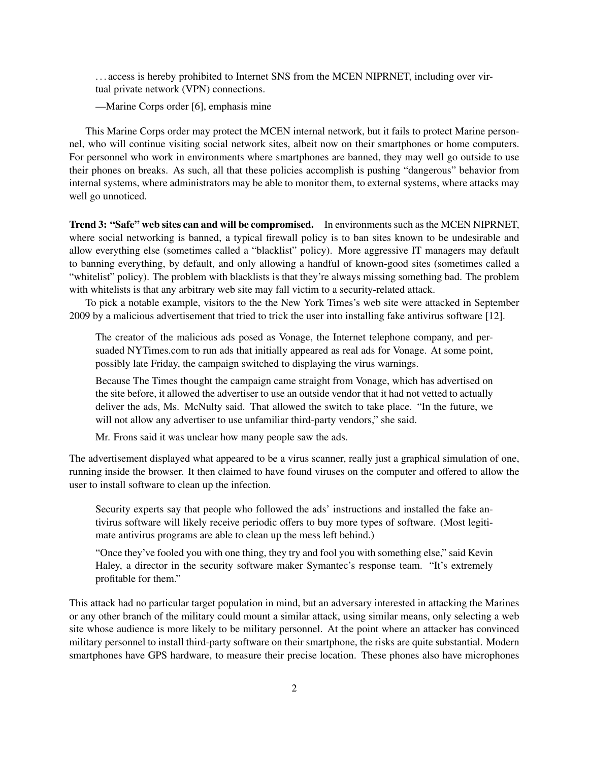. . . access is hereby prohibited to Internet SNS from the MCEN NIPRNET, including over virtual private network (VPN) connections.

—Marine Corps order [\[6\]](#page-10-0), emphasis mine

This Marine Corps order may protect the MCEN internal network, but it fails to protect Marine personnel, who will continue visiting social network sites, albeit now on their smartphones or home computers. For personnel who work in environments where smartphones are banned, they may well go outside to use their phones on breaks. As such, all that these policies accomplish is pushing "dangerous" behavior from internal systems, where administrators may be able to monitor them, to external systems, where attacks may well go unnoticed.

Trend 3: "Safe" web sites can and will be compromised. In environments such as the MCEN NIPRNET, where social networking is banned, a typical firewall policy is to ban sites known to be undesirable and allow everything else (sometimes called a "blacklist" policy). More aggressive IT managers may default to banning everything, by default, and only allowing a handful of known-good sites (sometimes called a "whitelist" policy). The problem with blacklists is that they're always missing something bad. The problem with whitelists is that any arbitrary web site may fall victim to a security-related attack.

To pick a notable example, visitors to the the New York Times's web site were attacked in September 2009 by a malicious advertisement that tried to trick the user into installing fake antivirus software [\[12\]](#page-10-1).

The creator of the malicious ads posed as Vonage, the Internet telephone company, and persuaded NYTimes.com to run ads that initially appeared as real ads for Vonage. At some point, possibly late Friday, the campaign switched to displaying the virus warnings.

Because The Times thought the campaign came straight from Vonage, which has advertised on the site before, it allowed the advertiser to use an outside vendor that it had not vetted to actually deliver the ads, Ms. McNulty said. That allowed the switch to take place. "In the future, we will not allow any advertiser to use unfamiliar third-party vendors," she said.

Mr. Frons said it was unclear how many people saw the ads.

The advertisement displayed what appeared to be a virus scanner, really just a graphical simulation of one, running inside the browser. It then claimed to have found viruses on the computer and offered to allow the user to install software to clean up the infection.

Security experts say that people who followed the ads' instructions and installed the fake antivirus software will likely receive periodic offers to buy more types of software. (Most legitimate antivirus programs are able to clean up the mess left behind.)

"Once they've fooled you with one thing, they try and fool you with something else," said Kevin Haley, a director in the security software maker Symantec's response team. "It's extremely profitable for them."

This attack had no particular target population in mind, but an adversary interested in attacking the Marines or any other branch of the military could mount a similar attack, using similar means, only selecting a web site whose audience is more likely to be military personnel. At the point where an attacker has convinced military personnel to install third-party software on their smartphone, the risks are quite substantial. Modern smartphones have GPS hardware, to measure their precise location. These phones also have microphones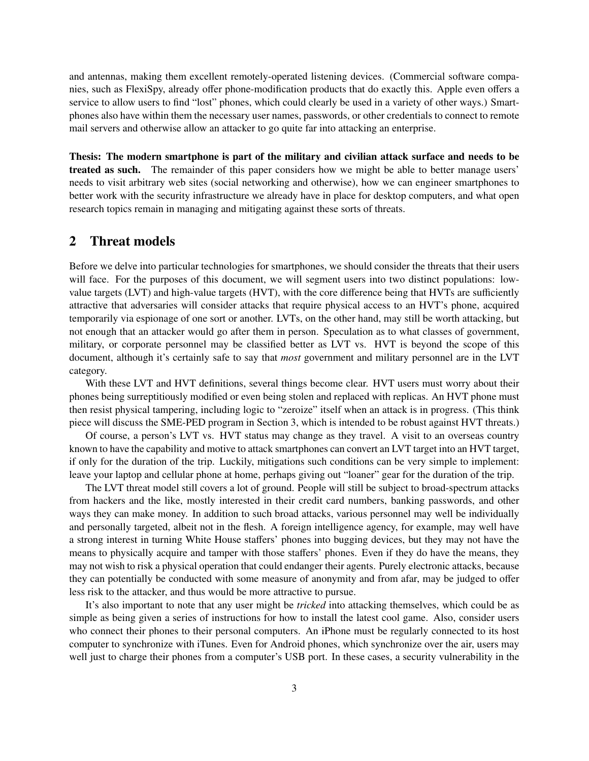and antennas, making them excellent remotely-operated listening devices. (Commercial software companies, such as FlexiSpy, already offer phone-modification products that do exactly this. Apple even offers a service to allow users to find "lost" phones, which could clearly be used in a variety of other ways.) Smartphones also have within them the necessary user names, passwords, or other credentials to connect to remote mail servers and otherwise allow an attacker to go quite far into attacking an enterprise.

Thesis: The modern smartphone is part of the military and civilian attack surface and needs to be treated as such. The remainder of this paper considers how we might be able to better manage users' needs to visit arbitrary web sites (social networking and otherwise), how we can engineer smartphones to better work with the security infrastructure we already have in place for desktop computers, and what open research topics remain in managing and mitigating against these sorts of threats.

### 2 Threat models

Before we delve into particular technologies for smartphones, we should consider the threats that their users will face. For the purposes of this document, we will segment users into two distinct populations: lowvalue targets (LVT) and high-value targets (HVT), with the core difference being that HVTs are sufficiently attractive that adversaries will consider attacks that require physical access to an HVT's phone, acquired temporarily via espionage of one sort or another. LVTs, on the other hand, may still be worth attacking, but not enough that an attacker would go after them in person. Speculation as to what classes of government, military, or corporate personnel may be classified better as LVT vs. HVT is beyond the scope of this document, although it's certainly safe to say that *most* government and military personnel are in the LVT category.

With these LVT and HVT definitions, several things become clear. HVT users must worry about their phones being surreptitiously modified or even being stolen and replaced with replicas. An HVT phone must then resist physical tampering, including logic to "zeroize" itself when an attack is in progress. (This think piece will discuss the SME-PED program in Section [3,](#page-3-0) which is intended to be robust against HVT threats.)

Of course, a person's LVT vs. HVT status may change as they travel. A visit to an overseas country known to have the capability and motive to attack smartphones can convert an LVT target into an HVT target, if only for the duration of the trip. Luckily, mitigations such conditions can be very simple to implement: leave your laptop and cellular phone at home, perhaps giving out "loaner" gear for the duration of the trip.

The LVT threat model still covers a lot of ground. People will still be subject to broad-spectrum attacks from hackers and the like, mostly interested in their credit card numbers, banking passwords, and other ways they can make money. In addition to such broad attacks, various personnel may well be individually and personally targeted, albeit not in the flesh. A foreign intelligence agency, for example, may well have a strong interest in turning White House staffers' phones into bugging devices, but they may not have the means to physically acquire and tamper with those staffers' phones. Even if they do have the means, they may not wish to risk a physical operation that could endanger their agents. Purely electronic attacks, because they can potentially be conducted with some measure of anonymity and from afar, may be judged to offer less risk to the attacker, and thus would be more attractive to pursue.

It's also important to note that any user might be *tricked* into attacking themselves, which could be as simple as being given a series of instructions for how to install the latest cool game. Also, consider users who connect their phones to their personal computers. An iPhone must be regularly connected to its host computer to synchronize with iTunes. Even for Android phones, which synchronize over the air, users may well just to charge their phones from a computer's USB port. In these cases, a security vulnerability in the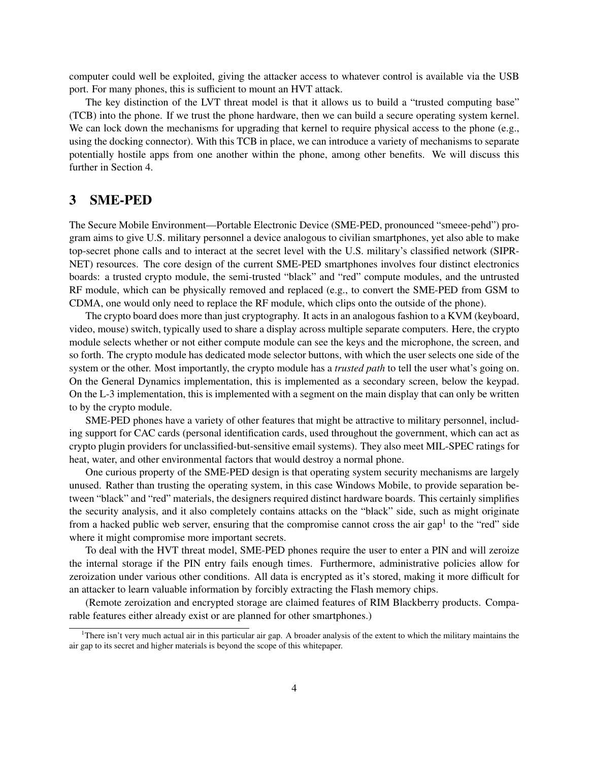computer could well be exploited, giving the attacker access to whatever control is available via the USB port. For many phones, this is sufficient to mount an HVT attack.

The key distinction of the LVT threat model is that it allows us to build a "trusted computing base" (TCB) into the phone. If we trust the phone hardware, then we can build a secure operating system kernel. We can lock down the mechanisms for upgrading that kernel to require physical access to the phone (e.g., using the docking connector). With this TCB in place, we can introduce a variety of mechanisms to separate potentially hostile apps from one another within the phone, among other benefits. We will discuss this further in Section [4.](#page-4-0)

### <span id="page-3-0"></span>3 SME-PED

The Secure Mobile Environment—Portable Electronic Device (SME-PED, pronounced "smeee-pehd") program aims to give U.S. military personnel a device analogous to civilian smartphones, yet also able to make top-secret phone calls and to interact at the secret level with the U.S. military's classified network (SIPR-NET) resources. The core design of the current SME-PED smartphones involves four distinct electronics boards: a trusted crypto module, the semi-trusted "black" and "red" compute modules, and the untrusted RF module, which can be physically removed and replaced (e.g., to convert the SME-PED from GSM to CDMA, one would only need to replace the RF module, which clips onto the outside of the phone).

The crypto board does more than just cryptography. It acts in an analogous fashion to a KVM (keyboard, video, mouse) switch, typically used to share a display across multiple separate computers. Here, the crypto module selects whether or not either compute module can see the keys and the microphone, the screen, and so forth. The crypto module has dedicated mode selector buttons, with which the user selects one side of the system or the other. Most importantly, the crypto module has a *trusted path* to tell the user what's going on. On the General Dynamics implementation, this is implemented as a secondary screen, below the keypad. On the L-3 implementation, this is implemented with a segment on the main display that can only be written to by the crypto module.

SME-PED phones have a variety of other features that might be attractive to military personnel, including support for CAC cards (personal identification cards, used throughout the government, which can act as crypto plugin providers for unclassified-but-sensitive email systems). They also meet MIL-SPEC ratings for heat, water, and other environmental factors that would destroy a normal phone.

One curious property of the SME-PED design is that operating system security mechanisms are largely unused. Rather than trusting the operating system, in this case Windows Mobile, to provide separation between "black" and "red" materials, the designers required distinct hardware boards. This certainly simplifies the security analysis, and it also completely contains attacks on the "black" side, such as might originate from a hacked public web server, ensuring that the compromise cannot cross the air gap<sup>[1](#page-3-1)</sup> to the "red" side where it might compromise more important secrets.

To deal with the HVT threat model, SME-PED phones require the user to enter a PIN and will zeroize the internal storage if the PIN entry fails enough times. Furthermore, administrative policies allow for zeroization under various other conditions. All data is encrypted as it's stored, making it more difficult for an attacker to learn valuable information by forcibly extracting the Flash memory chips.

(Remote zeroization and encrypted storage are claimed features of RIM Blackberry products. Comparable features either already exist or are planned for other smartphones.)

<span id="page-3-1"></span><sup>&</sup>lt;sup>1</sup>There isn't very much actual air in this particular air gap. A broader analysis of the extent to which the military maintains the air gap to its secret and higher materials is beyond the scope of this whitepaper.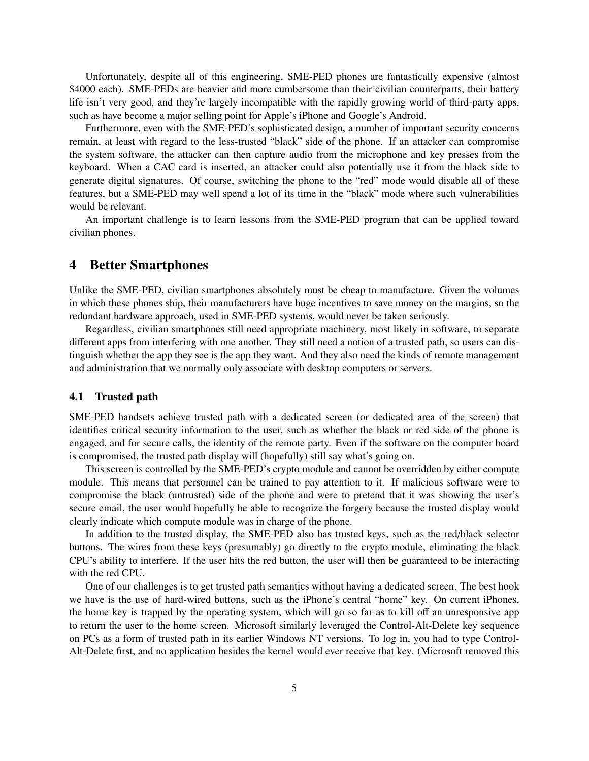Unfortunately, despite all of this engineering, SME-PED phones are fantastically expensive (almost \$4000 each). SME-PEDs are heavier and more cumbersome than their civilian counterparts, their battery life isn't very good, and they're largely incompatible with the rapidly growing world of third-party apps, such as have become a major selling point for Apple's iPhone and Google's Android.

Furthermore, even with the SME-PED's sophisticated design, a number of important security concerns remain, at least with regard to the less-trusted "black" side of the phone. If an attacker can compromise the system software, the attacker can then capture audio from the microphone and key presses from the keyboard. When a CAC card is inserted, an attacker could also potentially use it from the black side to generate digital signatures. Of course, switching the phone to the "red" mode would disable all of these features, but a SME-PED may well spend a lot of its time in the "black" mode where such vulnerabilities would be relevant.

An important challenge is to learn lessons from the SME-PED program that can be applied toward civilian phones.

### <span id="page-4-0"></span>4 Better Smartphones

Unlike the SME-PED, civilian smartphones absolutely must be cheap to manufacture. Given the volumes in which these phones ship, their manufacturers have huge incentives to save money on the margins, so the redundant hardware approach, used in SME-PED systems, would never be taken seriously.

Regardless, civilian smartphones still need appropriate machinery, most likely in software, to separate different apps from interfering with one another. They still need a notion of a trusted path, so users can distinguish whether the app they see is the app they want. And they also need the kinds of remote management and administration that we normally only associate with desktop computers or servers.

#### <span id="page-4-1"></span>4.1 Trusted path

SME-PED handsets achieve trusted path with a dedicated screen (or dedicated area of the screen) that identifies critical security information to the user, such as whether the black or red side of the phone is engaged, and for secure calls, the identity of the remote party. Even if the software on the computer board is compromised, the trusted path display will (hopefully) still say what's going on.

This screen is controlled by the SME-PED's crypto module and cannot be overridden by either compute module. This means that personnel can be trained to pay attention to it. If malicious software were to compromise the black (untrusted) side of the phone and were to pretend that it was showing the user's secure email, the user would hopefully be able to recognize the forgery because the trusted display would clearly indicate which compute module was in charge of the phone.

In addition to the trusted display, the SME-PED also has trusted keys, such as the red/black selector buttons. The wires from these keys (presumably) go directly to the crypto module, eliminating the black CPU's ability to interfere. If the user hits the red button, the user will then be guaranteed to be interacting with the red CPU.

One of our challenges is to get trusted path semantics without having a dedicated screen. The best hook we have is the use of hard-wired buttons, such as the iPhone's central "home" key. On current iPhones, the home key is trapped by the operating system, which will go so far as to kill off an unresponsive app to return the user to the home screen. Microsoft similarly leveraged the Control-Alt-Delete key sequence on PCs as a form of trusted path in its earlier Windows NT versions. To log in, you had to type Control-Alt-Delete first, and no application besides the kernel would ever receive that key. (Microsoft removed this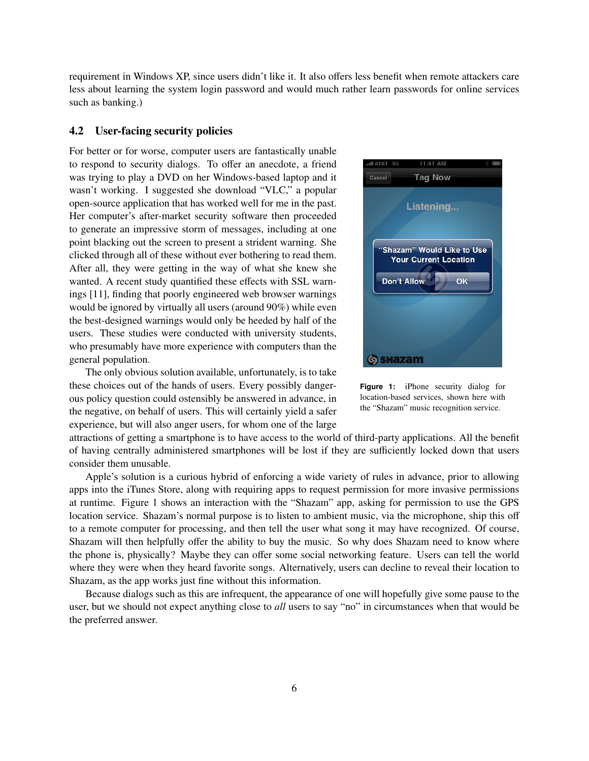requirement in Windows XP, since users didn't like it. It also offers less benefit when remote attackers care less about learning the system login password and would much rather learn passwords for online services such as banking.)

#### 4.2 User-facing security policies

For better or for worse, computer users are fantastically unable to respond to security dialogs. To offer an anecdote, a friend was trying to play a DVD on her Windows-based laptop and it wasn't working. I suggested she download "VLC," a popular open-source application that has worked well for me in the past. Her computer's after-market security software then proceeded to generate an impressive storm of messages, including at one point blacking out the screen to present a strident warning. She clicked through all of these without ever bothering to read them. After all, they were getting in the way of what she knew she wanted. A recent study quantified these effects with SSL warnings [\[11\]](#page-10-2), finding that poorly engineered web browser warnings would be ignored by virtually all users (around 90%) while even the best-designed warnings would only be heeded by half of the users. These studies were conducted with university students, who presumably have more experience with computers than the general population.

The only obvious solution available, unfortunately, is to take these choices out of the hands of users. Every possibly dangerous policy question could ostensibly be answered in advance, in the negative, on behalf of users. This will certainly yield a safer experience, but will also anger users, for whom one of the large

<span id="page-5-0"></span>

**Figure 1:** iPhone security dialog for location-based services, shown here with the "Shazam" music recognition service.

attractions of getting a smartphone is to have access to the world of third-party applications. All the benefit of having centrally administered smartphones will be lost if they are sufficiently locked down that users consider them unusable.

Apple's solution is a curious hybrid of enforcing a wide variety of rules in advance, prior to allowing apps into the iTunes Store, along with requiring apps to request permission for more invasive permissions at runtime. Figure [1](#page-5-0) shows an interaction with the "Shazam" app, asking for permission to use the GPS location service. Shazam's normal purpose is to listen to ambient music, via the microphone, ship this off to a remote computer for processing, and then tell the user what song it may have recognized. Of course, Shazam will then helpfully offer the ability to buy the music. So why does Shazam need to know where the phone is, physically? Maybe they can offer some social networking feature. Users can tell the world where they were when they heard favorite songs. Alternatively, users can decline to reveal their location to Shazam, as the app works just fine without this information.

Because dialogs such as this are infrequent, the appearance of one will hopefully give some pause to the user, but we should not expect anything close to *all* users to say "no" in circumstances when that would be the preferred answer.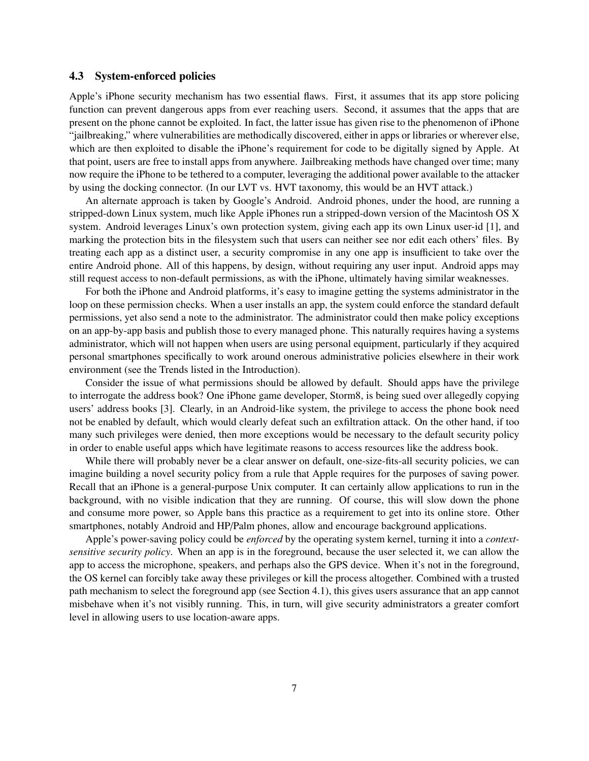#### <span id="page-6-0"></span>4.3 System-enforced policies

Apple's iPhone security mechanism has two essential flaws. First, it assumes that its app store policing function can prevent dangerous apps from ever reaching users. Second, it assumes that the apps that are present on the phone cannot be exploited. In fact, the latter issue has given rise to the phenomenon of iPhone "jailbreaking," where vulnerabilities are methodically discovered, either in apps or libraries or wherever else, which are then exploited to disable the iPhone's requirement for code to be digitally signed by Apple. At that point, users are free to install apps from anywhere. Jailbreaking methods have changed over time; many now require the iPhone to be tethered to a computer, leveraging the additional power available to the attacker by using the docking connector. (In our LVT vs. HVT taxonomy, this would be an HVT attack.)

An alternate approach is taken by Google's Android. Android phones, under the hood, are running a stripped-down Linux system, much like Apple iPhones run a stripped-down version of the Macintosh OS X system. Android leverages Linux's own protection system, giving each app its own Linux user-id [\[1\]](#page-10-3), and marking the protection bits in the filesystem such that users can neither see nor edit each others' files. By treating each app as a distinct user, a security compromise in any one app is insufficient to take over the entire Android phone. All of this happens, by design, without requiring any user input. Android apps may still request access to non-default permissions, as with the iPhone, ultimately having similar weaknesses.

For both the iPhone and Android platforms, it's easy to imagine getting the systems administrator in the loop on these permission checks. When a user installs an app, the system could enforce the standard default permissions, yet also send a note to the administrator. The administrator could then make policy exceptions on an app-by-app basis and publish those to every managed phone. This naturally requires having a systems administrator, which will not happen when users are using personal equipment, particularly if they acquired personal smartphones specifically to work around onerous administrative policies elsewhere in their work environment (see the Trends listed in the Introduction).

Consider the issue of what permissions should be allowed by default. Should apps have the privilege to interrogate the address book? One iPhone game developer, Storm8, is being sued over allegedly copying users' address books [\[3\]](#page-10-4). Clearly, in an Android-like system, the privilege to access the phone book need not be enabled by default, which would clearly defeat such an exfiltration attack. On the other hand, if too many such privileges were denied, then more exceptions would be necessary to the default security policy in order to enable useful apps which have legitimate reasons to access resources like the address book.

While there will probably never be a clear answer on default, one-size-fits-all security policies, we can imagine building a novel security policy from a rule that Apple requires for the purposes of saving power. Recall that an iPhone is a general-purpose Unix computer. It can certainly allow applications to run in the background, with no visible indication that they are running. Of course, this will slow down the phone and consume more power, so Apple bans this practice as a requirement to get into its online store. Other smartphones, notably Android and HP/Palm phones, allow and encourage background applications.

Apple's power-saving policy could be *enforced* by the operating system kernel, turning it into a *contextsensitive security policy*. When an app is in the foreground, because the user selected it, we can allow the app to access the microphone, speakers, and perhaps also the GPS device. When it's not in the foreground, the OS kernel can forcibly take away these privileges or kill the process altogether. Combined with a trusted path mechanism to select the foreground app (see Section [4.1\)](#page-4-1), this gives users assurance that an app cannot misbehave when it's not visibly running. This, in turn, will give security administrators a greater comfort level in allowing users to use location-aware apps.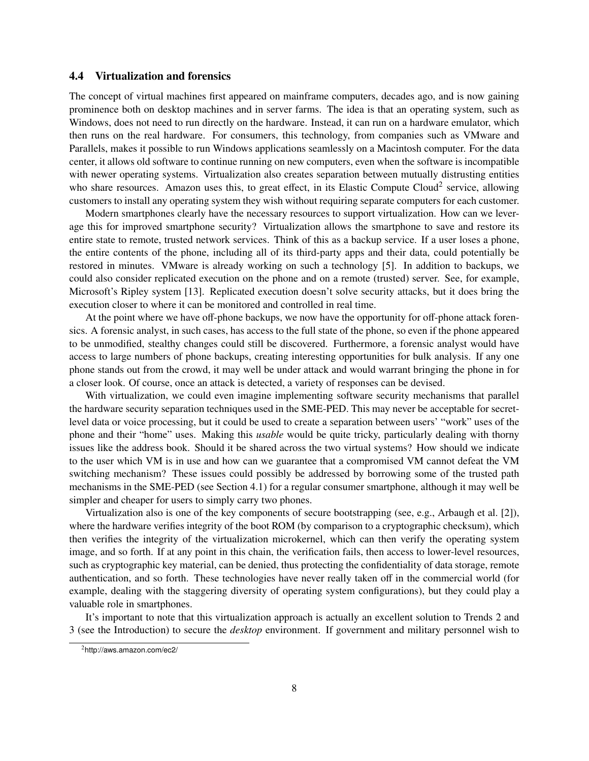#### 4.4 Virtualization and forensics

The concept of virtual machines first appeared on mainframe computers, decades ago, and is now gaining prominence both on desktop machines and in server farms. The idea is that an operating system, such as Windows, does not need to run directly on the hardware. Instead, it can run on a hardware emulator, which then runs on the real hardware. For consumers, this technology, from companies such as VMware and Parallels, makes it possible to run Windows applications seamlessly on a Macintosh computer. For the data center, it allows old software to continue running on new computers, even when the software is incompatible with newer operating systems. Virtualization also creates separation between mutually distrusting entities who share resources. Amazon uses this, to great effect, in its Elastic Compute Cloud<sup>[2](#page-7-0)</sup> service, allowing customers to install any operating system they wish without requiring separate computers for each customer.

Modern smartphones clearly have the necessary resources to support virtualization. How can we leverage this for improved smartphone security? Virtualization allows the smartphone to save and restore its entire state to remote, trusted network services. Think of this as a backup service. If a user loses a phone, the entire contents of the phone, including all of its third-party apps and their data, could potentially be restored in minutes. VMware is already working on such a technology [\[5\]](#page-10-5). In addition to backups, we could also consider replicated execution on the phone and on a remote (trusted) server. See, for example, Microsoft's Ripley system [\[13\]](#page-10-6). Replicated execution doesn't solve security attacks, but it does bring the execution closer to where it can be monitored and controlled in real time.

At the point where we have off-phone backups, we now have the opportunity for off-phone attack forensics. A forensic analyst, in such cases, has access to the full state of the phone, so even if the phone appeared to be unmodified, stealthy changes could still be discovered. Furthermore, a forensic analyst would have access to large numbers of phone backups, creating interesting opportunities for bulk analysis. If any one phone stands out from the crowd, it may well be under attack and would warrant bringing the phone in for a closer look. Of course, once an attack is detected, a variety of responses can be devised.

With virtualization, we could even imagine implementing software security mechanisms that parallel the hardware security separation techniques used in the SME-PED. This may never be acceptable for secretlevel data or voice processing, but it could be used to create a separation between users' "work" uses of the phone and their "home" uses. Making this *usable* would be quite tricky, particularly dealing with thorny issues like the address book. Should it be shared across the two virtual systems? How should we indicate to the user which VM is in use and how can we guarantee that a compromised VM cannot defeat the VM switching mechanism? These issues could possibly be addressed by borrowing some of the trusted path mechanisms in the SME-PED (see Section [4.1\)](#page-4-1) for a regular consumer smartphone, although it may well be simpler and cheaper for users to simply carry two phones.

Virtualization also is one of the key components of secure bootstrapping (see, e.g., Arbaugh et al. [\[2\]](#page-10-7)), where the hardware verifies integrity of the boot ROM (by comparison to a cryptographic checksum), which then verifies the integrity of the virtualization microkernel, which can then verify the operating system image, and so forth. If at any point in this chain, the verification fails, then access to lower-level resources, such as cryptographic key material, can be denied, thus protecting the confidentiality of data storage, remote authentication, and so forth. These technologies have never really taken off in the commercial world (for example, dealing with the staggering diversity of operating system configurations), but they could play a valuable role in smartphones.

It's important to note that this virtualization approach is actually an excellent solution to Trends 2 and 3 (see the Introduction) to secure the *desktop* environment. If government and military personnel wish to

<span id="page-7-0"></span><sup>2</sup> <http://aws.amazon.com/ec2/>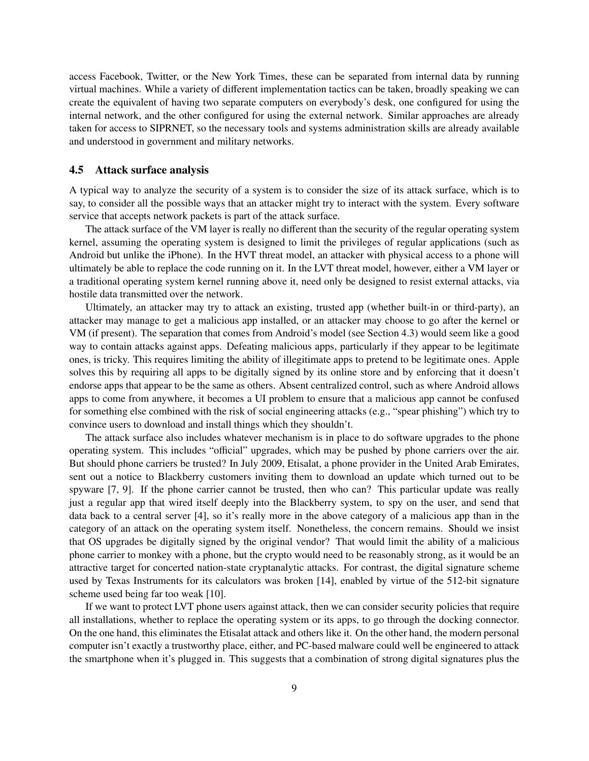access Facebook, Twitter, or the New York Times, these can be separated from internal data by running virtual machines. While a variety of different implementation tactics can be taken, broadly speaking we can create the equivalent of having two separate computers on everybody's desk, one configured for using the internal network, and the other configured for using the external network. Similar approaches are already taken for access to SIPRNET, so the necessary tools and systems administration skills are already available and understood in government and military networks.

#### 4.5 Attack surface analysis

A typical way to analyze the security of a system is to consider the size of its attack surface, which is to say, to consider all the possible ways that an attacker might try to interact with the system. Every software service that accepts network packets is part of the attack surface.

The attack surface of the VM layer is really no different than the security of the regular operating system kernel, assuming the operating system is designed to limit the privileges of regular applications (such as Android but unlike the iPhone). In the HVT threat model, an attacker with physical access to a phone will ultimately be able to replace the code running on it. In the LVT threat model, however, either a VM layer or a traditional operating system kernel running above it, need only be designed to resist external attacks, via hostile data transmitted over the network.

Ultimately, an attacker may try to attack an existing, trusted app (whether built-in or third-party), an attacker may manage to get a malicious app installed, or an attacker may choose to go after the kernel or VM (if present). The separation that comes from Android's model (see Section [4.3\)](#page-6-0) would seem like a good way to contain attacks against apps. Defeating malicious apps, particularly if they appear to be legitimate ones, is tricky. This requires limiting the ability of illegitimate apps to pretend to be legitimate ones. Apple solves this by requiring all apps to be digitally signed by its online store and by enforcing that it doesn't endorse apps that appear to be the same as others. Absent centralized control, such as where Android allows apps to come from anywhere, it becomes a UI problem to ensure that a malicious app cannot be confused for something else combined with the risk of social engineering attacks (e.g., "spear phishing") which try to convince users to download and install things which they shouldn't.

The attack surface also includes whatever mechanism is in place to do software upgrades to the phone operating system. This includes "official" upgrades, which may be pushed by phone carriers over the air. But should phone carriers be trusted? In July 2009, Etisalat, a phone provider in the United Arab Emirates, sent out a notice to Blackberry customers inviting them to download an update which turned out to be spyware [\[7,](#page-10-8) [9\]](#page-10-9). If the phone carrier cannot be trusted, then who can? This particular update was really just a regular app that wired itself deeply into the Blackberry system, to spy on the user, and send that data back to a central server [\[4\]](#page-10-10), so it's really more in the above category of a malicious app than in the category of an attack on the operating system itself. Nonetheless, the concern remains. Should we insist that OS upgrades be digitally signed by the original vendor? That would limit the ability of a malicious phone carrier to monkey with a phone, but the crypto would need to be reasonably strong, as it would be an attractive target for concerted nation-state cryptanalytic attacks. For contrast, the digital signature scheme used by Texas Instruments for its calculators was broken [\[14\]](#page-10-11), enabled by virtue of the 512-bit signature scheme used being far too weak [\[10\]](#page-10-12).

If we want to protect LVT phone users against attack, then we can consider security policies that require all installations, whether to replace the operating system or its apps, to go through the docking connector. On the one hand, this eliminates the Etisalat attack and others like it. On the other hand, the modern personal computer isn't exactly a trustworthy place, either, and PC-based malware could well be engineered to attack the smartphone when it's plugged in. This suggests that a combination of strong digital signatures plus the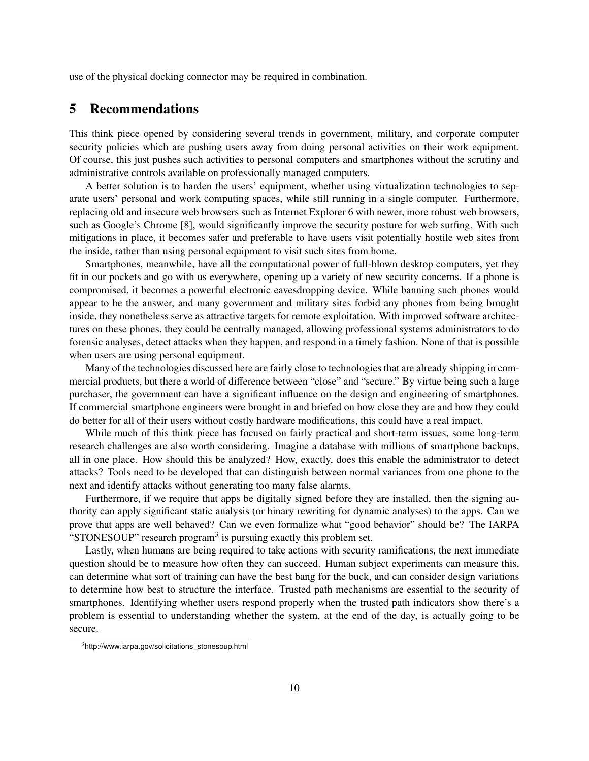use of the physical docking connector may be required in combination.

### 5 Recommendations

This think piece opened by considering several trends in government, military, and corporate computer security policies which are pushing users away from doing personal activities on their work equipment. Of course, this just pushes such activities to personal computers and smartphones without the scrutiny and administrative controls available on professionally managed computers.

A better solution is to harden the users' equipment, whether using virtualization technologies to separate users' personal and work computing spaces, while still running in a single computer. Furthermore, replacing old and insecure web browsers such as Internet Explorer 6 with newer, more robust web browsers, such as Google's Chrome [\[8\]](#page-10-13), would significantly improve the security posture for web surfing. With such mitigations in place, it becomes safer and preferable to have users visit potentially hostile web sites from the inside, rather than using personal equipment to visit such sites from home.

Smartphones, meanwhile, have all the computational power of full-blown desktop computers, yet they fit in our pockets and go with us everywhere, opening up a variety of new security concerns. If a phone is compromised, it becomes a powerful electronic eavesdropping device. While banning such phones would appear to be the answer, and many government and military sites forbid any phones from being brought inside, they nonetheless serve as attractive targets for remote exploitation. With improved software architectures on these phones, they could be centrally managed, allowing professional systems administrators to do forensic analyses, detect attacks when they happen, and respond in a timely fashion. None of that is possible when users are using personal equipment.

Many of the technologies discussed here are fairly close to technologies that are already shipping in commercial products, but there a world of difference between "close" and "secure." By virtue being such a large purchaser, the government can have a significant influence on the design and engineering of smartphones. If commercial smartphone engineers were brought in and briefed on how close they are and how they could do better for all of their users without costly hardware modifications, this could have a real impact.

While much of this think piece has focused on fairly practical and short-term issues, some long-term research challenges are also worth considering. Imagine a database with millions of smartphone backups, all in one place. How should this be analyzed? How, exactly, does this enable the administrator to detect attacks? Tools need to be developed that can distinguish between normal variances from one phone to the next and identify attacks without generating too many false alarms.

Furthermore, if we require that apps be digitally signed before they are installed, then the signing authority can apply significant static analysis (or binary rewriting for dynamic analyses) to the apps. Can we prove that apps are well behaved? Can we even formalize what "good behavior" should be? The IARPA "STONESOUP" research program<sup>[3](#page-9-0)</sup> is pursuing exactly this problem set.

Lastly, when humans are being required to take actions with security ramifications, the next immediate question should be to measure how often they can succeed. Human subject experiments can measure this, can determine what sort of training can have the best bang for the buck, and can consider design variations to determine how best to structure the interface. Trusted path mechanisms are essential to the security of smartphones. Identifying whether users respond properly when the trusted path indicators show there's a problem is essential to understanding whether the system, at the end of the day, is actually going to be secure.

<span id="page-9-0"></span><sup>3</sup> [http://www.iarpa.gov/solicitations\\_stonesoup.html](http://www.iarpa.gov/solicitations_stonesoup.html)